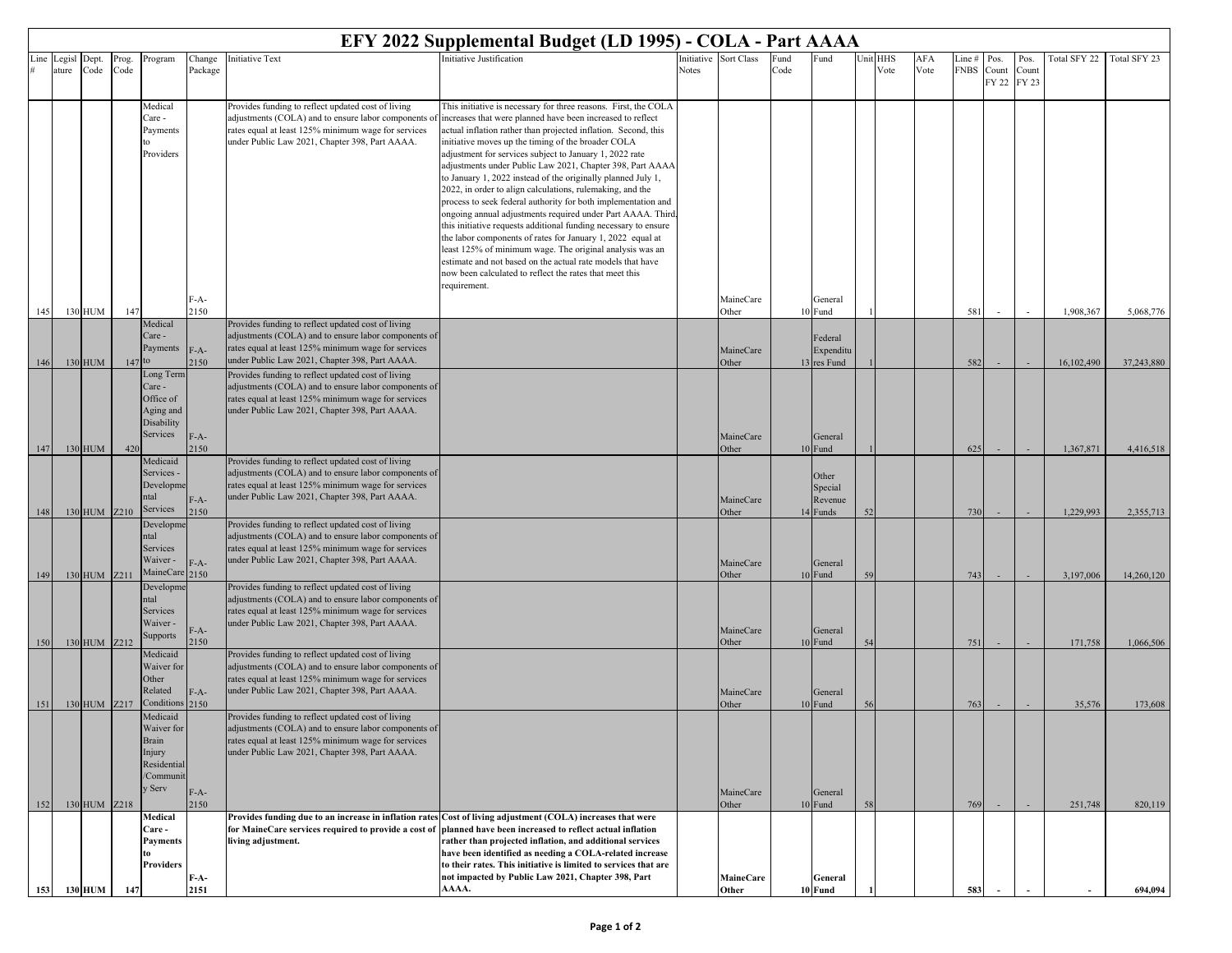|      | EFY 2022 Supplemental Budget (LD 1995) - COLA - Part AAAA |                |               |                          |                |                                                                                                             |                                                                                                                                                                        |           |                    |              |                     |      |             |             |                       |       |               |              |              |
|------|-----------------------------------------------------------|----------------|---------------|--------------------------|----------------|-------------------------------------------------------------------------------------------------------------|------------------------------------------------------------------------------------------------------------------------------------------------------------------------|-----------|--------------------|--------------|---------------------|------|-------------|-------------|-----------------------|-------|---------------|--------------|--------------|
| Line | Legisl                                                    | Dept.<br>Code  | Prog.<br>Code | Program                  | Change         | nitiative Text                                                                                              | Initiative Justification                                                                                                                                               | nitiative | Sort Class         | Fund<br>Code | Fund                | Unit | HHS<br>Vote | AFA<br>Vote | Line #<br><b>FNBS</b> | Pos.  | Pos.<br>Count | Total SFY 22 | Total SFY 23 |
|      | ature                                                     |                |               |                          | Package        |                                                                                                             |                                                                                                                                                                        | Notes     |                    |              |                     |      |             |             |                       | Count | FY 22 FY 23   |              |              |
|      |                                                           |                |               | Medical                  |                | Provides funding to reflect updated cost of living                                                          | This initiative is necessary for three reasons. First, the COLA                                                                                                        |           |                    |              |                     |      |             |             |                       |       |               |              |              |
|      |                                                           |                |               | Care -                   |                | adjustments (COLA) and to ensure labor components of                                                        | increases that were planned have been increased to reflect                                                                                                             |           |                    |              |                     |      |             |             |                       |       |               |              |              |
|      |                                                           |                |               | Payments                 |                | rates equal at least 125% minimum wage for services                                                         | actual inflation rather than projected inflation. Second, this                                                                                                         |           |                    |              |                     |      |             |             |                       |       |               |              |              |
|      |                                                           |                |               | Providers                |                | under Public Law 2021, Chapter 398, Part AAAA.                                                              | initiative moves up the timing of the broader COLA<br>adjustment for services subject to January 1, 2022 rate                                                          |           |                    |              |                     |      |             |             |                       |       |               |              |              |
|      |                                                           |                |               |                          |                |                                                                                                             | adjustments under Public Law 2021, Chapter 398, Part AAAA                                                                                                              |           |                    |              |                     |      |             |             |                       |       |               |              |              |
|      |                                                           |                |               |                          |                |                                                                                                             | to January 1, 2022 instead of the originally planned July 1,                                                                                                           |           |                    |              |                     |      |             |             |                       |       |               |              |              |
|      |                                                           |                |               |                          |                |                                                                                                             | 2022, in order to align calculations, rulemaking, and the<br>process to seek federal authority for both implementation and                                             |           |                    |              |                     |      |             |             |                       |       |               |              |              |
|      |                                                           |                |               |                          |                |                                                                                                             | ongoing annual adjustments required under Part AAAA. Third,                                                                                                            |           |                    |              |                     |      |             |             |                       |       |               |              |              |
|      |                                                           |                |               |                          |                |                                                                                                             | this initiative requests additional funding necessary to ensure<br>the labor components of rates for January 1, 2022 equal at                                          |           |                    |              |                     |      |             |             |                       |       |               |              |              |
|      |                                                           |                |               |                          |                |                                                                                                             | least 125% of minimum wage. The original analysis was an                                                                                                               |           |                    |              |                     |      |             |             |                       |       |               |              |              |
|      |                                                           |                |               |                          |                |                                                                                                             | estimate and not based on the actual rate models that have<br>now been calculated to reflect the rates that meet this                                                  |           |                    |              |                     |      |             |             |                       |       |               |              |              |
|      |                                                           |                |               |                          |                |                                                                                                             | requirement.                                                                                                                                                           |           |                    |              |                     |      |             |             |                       |       |               |              |              |
|      |                                                           |                |               |                          | F-A-           |                                                                                                             |                                                                                                                                                                        |           | MaineCare          |              | General             |      |             |             |                       |       |               |              |              |
| 145  |                                                           | 130 HUM        | 147           | Medical                  | 2150           | Provides funding to reflect updated cost of living                                                          |                                                                                                                                                                        |           | Other              |              | 10 Fund             |      |             |             | 581                   |       |               | 1,908,367    | 5,068,776    |
|      |                                                           |                |               | Care -                   |                | adjustments (COLA) and to ensure labor components of                                                        |                                                                                                                                                                        |           |                    |              | Federal             |      |             |             |                       |       |               |              |              |
|      |                                                           |                |               | Payments                 | $F-A-$         | rates equal at least 125% minimum wage for services<br>under Public Law 2021, Chapter 398, Part AAAA.       |                                                                                                                                                                        |           | MaineCare          |              | Expenditu           |      |             |             |                       |       |               |              |              |
| 146  |                                                           | 130 HUM        | 147           | to<br>Long Term          | 2150           | Provides funding to reflect updated cost of living                                                          |                                                                                                                                                                        |           | Other              |              | 13 res Fund         |      |             |             | 582                   |       |               | 16,102,490   | 37,243,880   |
|      |                                                           |                |               | Care -                   |                | adjustments (COLA) and to ensure labor components of                                                        |                                                                                                                                                                        |           |                    |              |                     |      |             |             |                       |       |               |              |              |
|      |                                                           |                |               | Office of<br>Aging and   |                | rates equal at least 125% minimum wage for services<br>under Public Law 2021, Chapter 398, Part AAAA.       |                                                                                                                                                                        |           |                    |              |                     |      |             |             |                       |       |               |              |              |
|      |                                                           |                |               | Disability               |                |                                                                                                             |                                                                                                                                                                        |           |                    |              |                     |      |             |             |                       |       |               |              |              |
|      |                                                           |                |               | Services                 | $F-A-$         |                                                                                                             |                                                                                                                                                                        |           | MaineCare          |              | General             |      |             |             |                       |       |               |              |              |
| 147  |                                                           | 130 HUM        | 420           | Medicaid                 | 2150           | Provides funding to reflect updated cost of living                                                          |                                                                                                                                                                        |           | Other              |              | 10 Fund             |      |             |             | 625                   |       |               | 1,367,871    | 4,416,518    |
|      |                                                           |                |               | Services -               |                | adjustments (COLA) and to ensure labor components of                                                        |                                                                                                                                                                        |           |                    |              | Other               |      |             |             |                       |       |               |              |              |
|      |                                                           |                |               | Developme<br>ntal        |                | rates equal at least 125% minimum wage for services<br>under Public Law 2021, Chapter 398, Part AAAA.       |                                                                                                                                                                        |           |                    |              | Special             |      |             |             |                       |       |               |              |              |
| 148  |                                                           | 130 HUM Z210   |               | Services                 | $F-A-$<br>2150 |                                                                                                             |                                                                                                                                                                        |           | MaineCare<br>Other |              | Revenue<br>14 Funds |      |             |             | 730                   |       |               | 1,229,993    | 2,355,713    |
|      |                                                           |                |               | Developm                 |                | Provides funding to reflect updated cost of living                                                          |                                                                                                                                                                        |           |                    |              |                     |      |             |             |                       |       |               |              |              |
|      |                                                           |                |               | ntal<br>Services         |                | adjustments (COLA) and to ensure labor components of<br>rates equal at least 125% minimum wage for services |                                                                                                                                                                        |           |                    |              |                     |      |             |             |                       |       |               |              |              |
|      |                                                           |                |               | Waiver -                 | $F-A-$         | under Public Law 2021, Chapter 398, Part AAAA.                                                              |                                                                                                                                                                        |           | MaineCare          |              | General             |      |             |             |                       |       |               |              |              |
| 149  |                                                           | 130 HUM Z211   |               | MaineCare                | 2150           |                                                                                                             |                                                                                                                                                                        |           | Other              |              | 10 Fund             |      |             |             | 743                   |       |               | 3,197,006    | 14,260,120   |
|      |                                                           |                |               | Developme<br>ntal        |                | Provides funding to reflect updated cost of living<br>adjustments (COLA) and to ensure labor components of  |                                                                                                                                                                        |           |                    |              |                     |      |             |             |                       |       |               |              |              |
|      |                                                           |                |               | Services                 |                | rates equal at least 125% minimum wage for services                                                         |                                                                                                                                                                        |           |                    |              |                     |      |             |             |                       |       |               |              |              |
|      |                                                           |                |               | Waiver -<br>Supports     | F-A-           | under Public Law 2021, Chapter 398, Part AAAA.                                                              |                                                                                                                                                                        |           | MaineCare          |              | General             |      |             |             |                       |       |               |              |              |
| 150  |                                                           | 130 HUM Z212   |               | Medicaid                 | 2150           | Provides funding to reflect updated cost of living                                                          |                                                                                                                                                                        |           | Other              |              | 10 Fund             | 54   |             |             | 751                   |       |               | 171,758      | 1,066,506    |
|      |                                                           |                |               | Waiver for               |                | adjustments (COLA) and to ensure labor components of                                                        |                                                                                                                                                                        |           |                    |              |                     |      |             |             |                       |       |               |              |              |
|      |                                                           |                |               | Other                    |                | rates equal at least 125% minimum wage for services                                                         |                                                                                                                                                                        |           |                    |              |                     |      |             |             |                       |       |               |              |              |
| 151  |                                                           | 130 HUM Z217   |               | Related<br>Conditions    | $F-A-$<br>2150 | under Public Law 2021, Chapter 398, Part AAAA.                                                              |                                                                                                                                                                        |           | MaineCare<br>Other |              | General<br>10 Fund  |      |             |             | 763                   |       |               | 35,576       | 173,608      |
|      |                                                           |                |               | Medicaid                 |                | Provides funding to reflect updated cost of living                                                          |                                                                                                                                                                        |           |                    |              |                     |      |             |             |                       |       |               |              |              |
|      |                                                           |                |               | Waiver for<br>Brain      |                | adjustments (COLA) and to ensure labor components of<br>rates equal at least 125% minimum wage for services |                                                                                                                                                                        |           |                    |              |                     |      |             |             |                       |       |               |              |              |
|      |                                                           |                |               | Injury                   |                | under Public Law 2021, Chapter 398, Part AAAA.                                                              |                                                                                                                                                                        |           |                    |              |                     |      |             |             |                       |       |               |              |              |
|      |                                                           |                |               | Residential<br>/Communit |                |                                                                                                             |                                                                                                                                                                        |           |                    |              |                     |      |             |             |                       |       |               |              |              |
|      |                                                           |                |               | y Serv                   | F-A-           |                                                                                                             |                                                                                                                                                                        |           | MaineCare          |              | General             |      |             |             |                       |       |               |              |              |
| 152  |                                                           | 130 HUM Z218   |               |                          | 2150           |                                                                                                             |                                                                                                                                                                        |           | Other              |              | 10 Fund             | 58   |             |             | 769                   |       |               | 251,748      | 820,119      |
|      |                                                           |                |               | Medical<br><b>Care -</b> |                | for MaineCare services required to provide a cost of                                                        | Provides funding due to an increase in inflation rates Cost of living adjustment (COLA) increases that were<br>planned have been increased to reflect actual inflation |           |                    |              |                     |      |             |             |                       |       |               |              |              |
|      |                                                           |                |               | Payments                 |                | living adjustment.                                                                                          | rather than projected inflation, and additional services                                                                                                               |           |                    |              |                     |      |             |             |                       |       |               |              |              |
|      |                                                           |                |               | to<br><b>Providers</b>   |                |                                                                                                             | have been identified as needing a COLA-related increase<br>to their rates. This initiative is limited to services that are                                             |           |                    |              |                     |      |             |             |                       |       |               |              |              |
|      |                                                           |                |               |                          | F-A-           |                                                                                                             | not impacted by Public Law 2021, Chapter 398, Part                                                                                                                     |           | MaineCare          |              | General             |      |             |             |                       |       |               |              |              |
| 153  |                                                           | <b>130 HUM</b> | 147           |                          | 2151           |                                                                                                             | AAAA.                                                                                                                                                                  |           | Other              |              | 10 Fund             |      |             |             | 583                   |       |               |              | 694,094      |